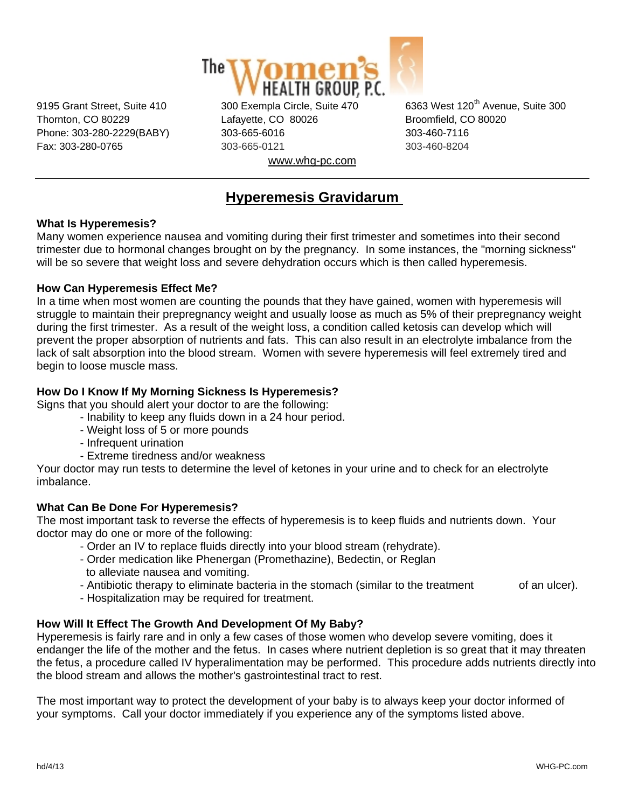

Thornton, CO 80229 Lafayette, CO 80026 Broomfield, CO 80020 Phone: 303-280-2229(BABY) 303-665-6016 303-800-7116 Fax: 303-280-0765 303-665-0121 303-460-8204 www.whg-pc.com

9195 Grant Street, Suite 410 300 Exempla Circle, Suite 470 6363 West 120<sup>th</sup> Avenue, Suite 300

# **Hyperemesis Gravidarum**

#### **What Is Hyperemesis?**

Many women experience nausea and vomiting during their first trimester and sometimes into their second trimester due to hormonal changes brought on by the pregnancy. In some instances, the "morning sickness" will be so severe that weight loss and severe dehydration occurs which is then called hyperemesis.

#### **How Can Hyperemesis Effect Me?**

In a time when most women are counting the pounds that they have gained, women with hyperemesis will struggle to maintain their prepregnancy weight and usually loose as much as 5% of their prepregnancy weight during the first trimester. As a result of the weight loss, a condition called ketosis can develop which will prevent the proper absorption of nutrients and fats. This can also result in an electrolyte imbalance from the lack of salt absorption into the blood stream. Women with severe hyperemesis will feel extremely tired and begin to loose muscle mass.

#### **How Do I Know If My Morning Sickness Is Hyperemesis?**

Signs that you should alert your doctor to are the following:

- Inability to keep any fluids down in a 24 hour period.
	- Weight loss of 5 or more pounds
	- Infrequent urination
	- Extreme tiredness and/or weakness

Your doctor may run tests to determine the level of ketones in your urine and to check for an electrolyte imbalance.

#### **What Can Be Done For Hyperemesis?**

The most important task to reverse the effects of hyperemesis is to keep fluids and nutrients down. Your doctor may do one or more of the following:

- Order an IV to replace fluids directly into your blood stream (rehydrate).
- Order medication like Phenergan (Promethazine), Bedectin, or Reglan to alleviate nausea and vomiting.
- Antibiotic therapy to eliminate bacteria in the stomach (similar to the treatment of an ulcer).
- Hospitalization may be required for treatment.

## **How Will It Effect The Growth And Development Of My Baby?**

Hyperemesis is fairly rare and in only a few cases of those women who develop severe vomiting, does it endanger the life of the mother and the fetus. In cases where nutrient depletion is so great that it may threaten the fetus, a procedure called IV hyperalimentation may be performed. This procedure adds nutrients directly into the blood stream and allows the mother's gastrointestinal tract to rest.

The most important way to protect the development of your baby is to always keep your doctor informed of your symptoms. Call your doctor immediately if you experience any of the symptoms listed above.